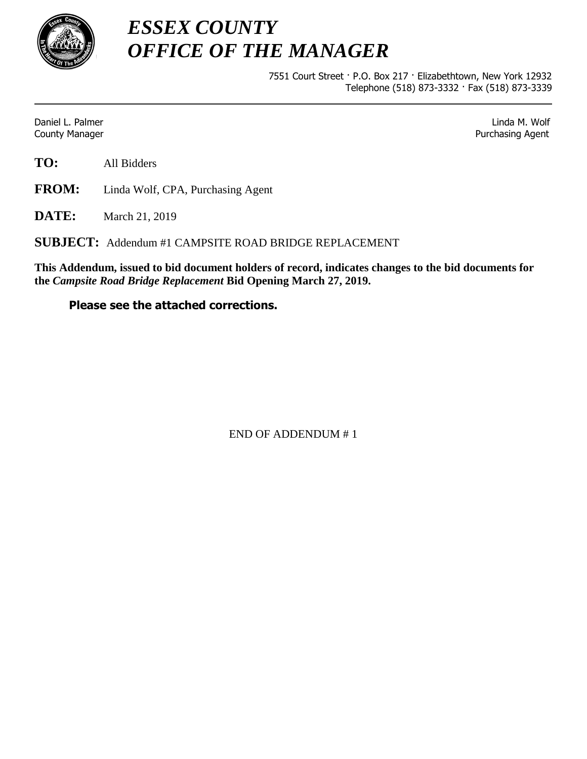

*ESSEX COUNTY OFFICE OF THE MANAGER*

> 7551 Court Street · P.O. Box 217 · Elizabethtown, New York 12932 Telephone (518) 873-3332 · Fax (518) 873-3339

Daniel L. Palmer Linda M. Wolf **County Manager County Manager 2018 Purchasing Agent** County Manager 2018 **Purchasing Agent** 

**TO:** All Bidders

**FROM:** Linda Wolf, CPA, Purchasing Agent

**DATE:** March 21, 2019

**SUBJECT:** Addendum #1 CAMPSITE ROAD BRIDGE REPLACEMENT

**This Addendum, issued to bid document holders of record, indicates changes to the bid documents for the** *Campsite Road Bridge Replacement* **Bid Opening March 27, 2019.**

## **Please see the attached corrections.**

END OF ADDENDUM # 1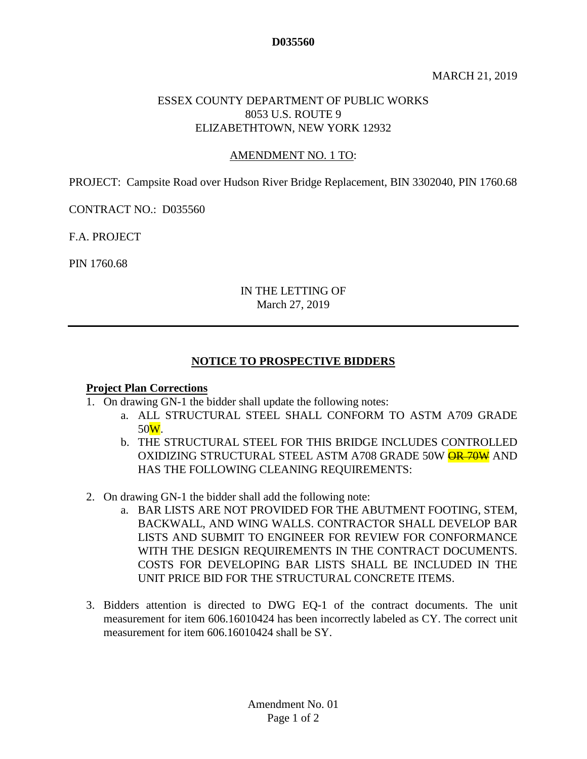#### **D035560**

#### MARCH 21, 2019

#### ESSEX COUNTY DEPARTMENT OF PUBLIC WORKS 8053 U.S. ROUTE 9 ELIZABETHTOWN, NEW YORK 12932

#### AMENDMENT NO. 1 TO:

PROJECT: Campsite Road over Hudson River Bridge Replacement, BIN 3302040, PIN 1760.68

CONTRACT NO.: D035560

F.A. PROJECT

PIN 1760.68

### IN THE LETTING OF March 27, 2019

#### **NOTICE TO PROSPECTIVE BIDDERS**

#### **Project Plan Corrections**

- 1. On drawing GN-1 the bidder shall update the following notes:
	- a. ALL STRUCTURAL STEEL SHALL CONFORM TO ASTM A709 GRADE 50W.
	- b. THE STRUCTURAL STEEL FOR THIS BRIDGE INCLUDES CONTROLLED OXIDIZING STRUCTURAL STEEL ASTM A708 GRADE 50W **OR 70W** AND HAS THE FOLLOWING CLEANING REQUIREMENTS:
- 2. On drawing GN-1 the bidder shall add the following note:
	- a. BAR LISTS ARE NOT PROVIDED FOR THE ABUTMENT FOOTING, STEM, BACKWALL, AND WING WALLS. CONTRACTOR SHALL DEVELOP BAR LISTS AND SUBMIT TO ENGINEER FOR REVIEW FOR CONFORMANCE WITH THE DESIGN REQUIREMENTS IN THE CONTRACT DOCUMENTS. COSTS FOR DEVELOPING BAR LISTS SHALL BE INCLUDED IN THE UNIT PRICE BID FOR THE STRUCTURAL CONCRETE ITEMS.
- 3. Bidders attention is directed to DWG EQ-1 of the contract documents. The unit measurement for item 606.16010424 has been incorrectly labeled as CY. The correct unit measurement for item 606.16010424 shall be SY.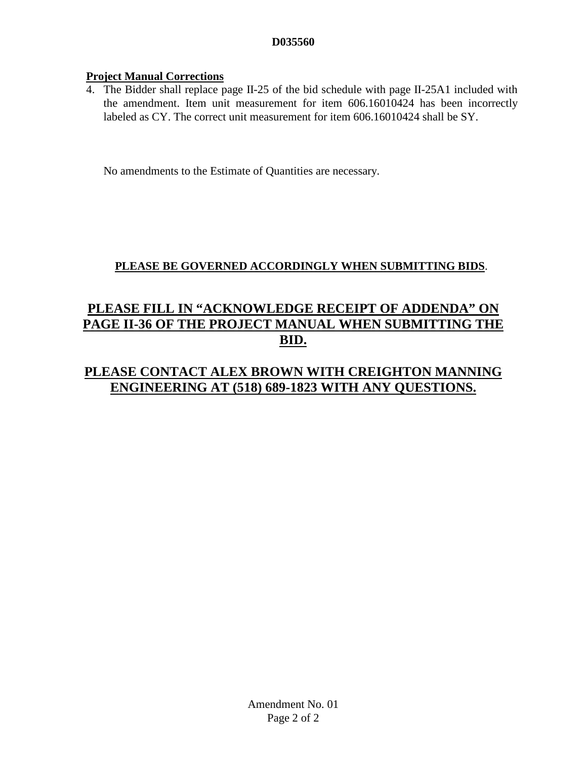## **D035560**

## **Project Manual Corrections**

4. The Bidder shall replace page II-25 of the bid schedule with page II-25A1 included with the amendment. Item unit measurement for item 606.16010424 has been incorrectly labeled as CY. The correct unit measurement for item 606.16010424 shall be SY.

No amendments to the Estimate of Quantities are necessary.

## **PLEASE BE GOVERNED ACCORDINGLY WHEN SUBMITTING BIDS**.

# **PLEASE FILL IN "ACKNOWLEDGE RECEIPT OF ADDENDA" ON PAGE II-36 OF THE PROJECT MANUAL WHEN SUBMITTING THE BID.**

## **PLEASE CONTACT ALEX BROWN WITH CREIGHTON MANNING ENGINEERING AT (518) 689-1823 WITH ANY QUESTIONS.**